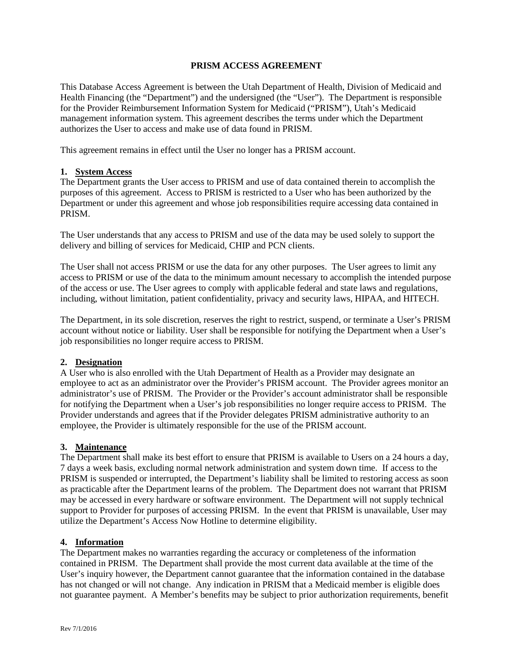### **PRISM ACCESS AGREEMENT**

This Database Access Agreement is between the Utah Department of Health, Division of Medicaid and Health Financing (the "Department") and the undersigned (the "User"). The Department is responsible for the Provider Reimbursement Information System for Medicaid ("PRISM"), Utah's Medicaid management information system. This agreement describes the terms under which the Department authorizes the User to access and make use of data found in PRISM.

This agreement remains in effect until the User no longer has a PRISM account.

### **1. System Access**

The Department grants the User access to PRISM and use of data contained therein to accomplish the purposes of this agreement. Access to PRISM is restricted to a User who has been authorized by the Department or under this agreement and whose job responsibilities require accessing data contained in **PRISM.** 

The User understands that any access to PRISM and use of the data may be used solely to support the delivery and billing of services for Medicaid, CHIP and PCN clients.

The User shall not access PRISM or use the data for any other purposes. The User agrees to limit any access to PRISM or use of the data to the minimum amount necessary to accomplish the intended purpose of the access or use. The User agrees to comply with applicable federal and state laws and regulations, including, without limitation, patient confidentiality, privacy and security laws, HIPAA, and HITECH.

The Department, in its sole discretion, reserves the right to restrict, suspend, or terminate a User's PRISM account without notice or liability. User shall be responsible for notifying the Department when a User's job responsibilities no longer require access to PRISM.

#### **2. Designation**

A User who is also enrolled with the Utah Department of Health as a Provider may designate an employee to act as an administrator over the Provider's PRISM account. The Provider agrees monitor an administrator's use of PRISM. The Provider or the Provider's account administrator shall be responsible for notifying the Department when a User's job responsibilities no longer require access to PRISM. The Provider understands and agrees that if the Provider delegates PRISM administrative authority to an employee, the Provider is ultimately responsible for the use of the PRISM account.

## **3. Maintenance**

The Department shall make its best effort to ensure that PRISM is available to Users on a 24 hours a day, 7 days a week basis, excluding normal network administration and system down time. If access to the PRISM is suspended or interrupted, the Department's liability shall be limited to restoring access as soon as practicable after the Department learns of the problem. The Department does not warrant that PRISM may be accessed in every hardware or software environment. The Department will not supply technical support to Provider for purposes of accessing PRISM. In the event that PRISM is unavailable, User may utilize the Department's Access Now Hotline to determine eligibility.

#### **4. Information**

The Department makes no warranties regarding the accuracy or completeness of the information contained in PRISM. The Department shall provide the most current data available at the time of the User's inquiry however, the Department cannot guarantee that the information contained in the database has not changed or will not change. Any indication in PRISM that a Medicaid member is eligible does not guarantee payment. A Member's benefits may be subject to prior authorization requirements, benefit